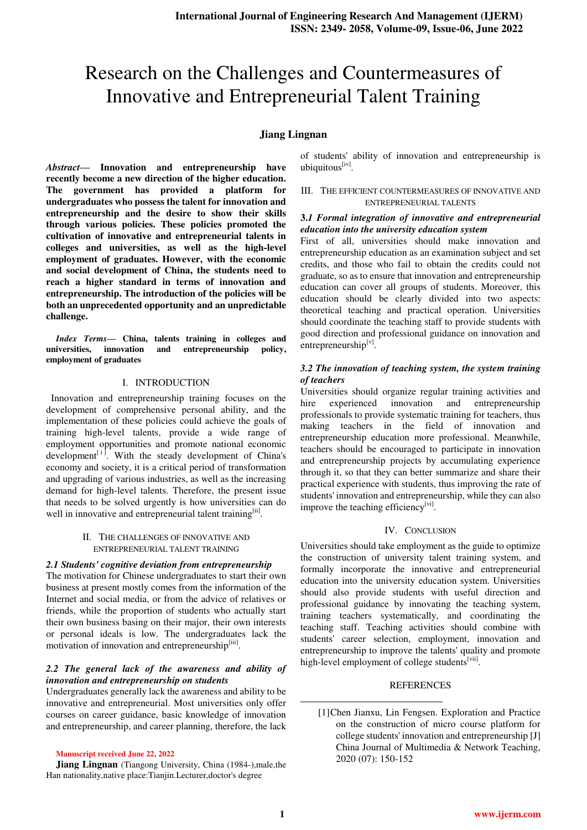# Research on the Challenges and Countermeasures of Innovative and Entrepreneurial Talent Training

## **Jiang Lingnan**

*Abstract***— Innovation and entrepreneurship have recently become a new direction of the higher education. The government has provided a platform for undergraduates who possess the talent for innovation and entrepreneurship and the desire to show their skills through various policies. These policies promoted the cultivation of innovative and entrepreneurial talents in colleges and universities, as well as the high-level employment of graduates. However, with the economic and social development of China, the students need to reach a higher standard in terms of innovation and entrepreneurship. The introduction of the policies will be both an unprecedented opportunity and an unpredictable challenge.** 

*Index Terms***— China, talents training in colleges and universities, innovation and entrepreneurship policy, employment of graduates** 

#### I. INTRODUCTION

 Innovation and entrepreneurship training focuses on the development of comprehensive personal ability, and the implementation of these policies could achieve the goals of training high-level talents, provide a wide range of employment opportunities and promote national economic development $\mathfrak{t}^{[i]}$ . With the steady development of China's economy and society, it is a critical period of transformation and upgrading of various industries, as well as the increasing demand for high-level talents. Therefore, the present issue that needs to be solved urgently is how universities can do well in innovative and entrepreneurial talent training<sup>[ii]</sup>.

#### II. THE CHALLENGES OF INNOVATIVE AND ENTREPRENEURIAL TALENT TRAINING

#### *2.1 Students' cognitive deviation from entrepreneurship*

The motivation for Chinese undergraduates to start their own business at present mostly comes from the information of the Internet and social media, or from the advice of relatives or friends, while the proportion of students who actually start their own business basing on their major, their own interests or personal ideals is low. The undergraduates lack the motivation of innovation and entrepreneurship<sup>[iii]</sup>.

## *2.2 The general lack of the awareness and ability of innovation and entrepreneurship on students*

Undergraduates generally lack the awareness and ability to be innovative and entrepreneurial. Most universities only offer courses on career guidance, basic knowledge of innovation and entrepreneurship, and career planning, therefore, the lack

**Manuscript received June 22, 2022**

**Jiang Lingnan** (Tiangong University, China (1984-),male,the Han nationality,native place:Tianjin.Lecturer,doctor's degree

of students' ability of innovation and entrepreneurship is ubiquitous<sup>[iv]</sup>.

#### III. THE EFFICIENT COUNTERMEASURES OF INNOVATIVE AND ENTREPRENEURIAL TALENTS

### **3.***1 Formal integration of innovative and entrepreneurial education into the university education system*

First of all, universities should make innovation and entrepreneurship education as an examination subject and set credits, and those who fail to obtain the credits could not graduate, so as to ensure that innovation and entrepreneurship education can cover all groups of students. Moreover, this education should be clearly divided into two aspects: theoretical teaching and practical operation. Universities should coordinate the teaching staff to provide students with good direction and professional guidance on innovation and entrepreneurship<sup>[v]</sup>.

## *3.2 The innovation of teaching system, the system training of teachers*

Universities should organize regular training activities and hire experienced innovation and entrepreneurship professionals to provide systematic training for teachers, thus making teachers in the field of innovation and entrepreneurship education more professional. Meanwhile, teachers should be encouraged to participate in innovation and entrepreneurship projects by accumulating experience through it, so that they can better summarize and share their practical experience with students, thus improving the rate of students' innovation and entrepreneurship, while they can also improve the teaching efficiency<sup>[vi]</sup>.

## IV. CONCLUSION

Universities should take employment as the guide to optimize the construction of university talent training system, and formally incorporate the innovative and entrepreneurial education into the university education system. Universities should also provide students with useful direction and professional guidance by innovating the teaching system, training teachers systematically, and coordinating the teaching staff. Teaching activities should combine with students' career selection, employment, innovation and entrepreneurship to improve the talents' quality and promote high-level employment of college students<sup>[vii]</sup>.

## REFERENCES

[1]Chen Jianxu, Lin Fengsen. Exploration and Practice on the construction of micro course platform for college students' innovation and entrepreneurship [J] China Journal of Multimedia & Network Teaching, 2020 (07): 150-152

**.**